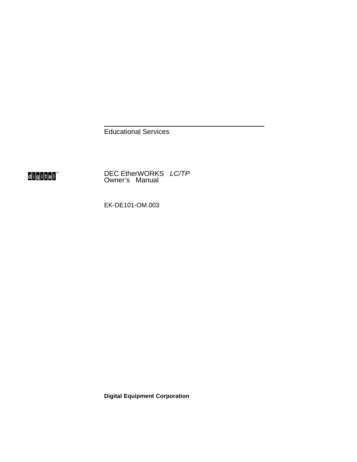Educational Services



DEC EtherWORKS LC/TP Owner's Manual

EK-DE101-OM.003

**Digital Equipment Corporation**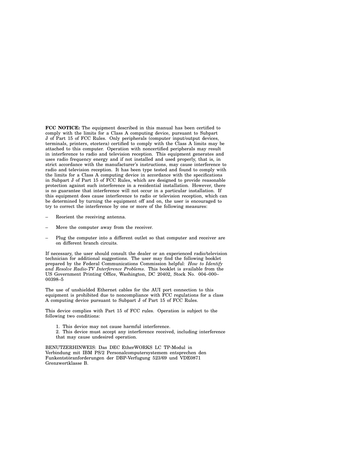**FCC NOTICE:** The equipment described in this manual has been certified to comply with the limits for a Class A computing device, pursuant to Subpart J of Part 15 of FCC Rules. Only peripherals (computer input/output devices, terminals, printers, etcetera) certified to comply with the Class A limits may be attached to this computer. Operation with noncertified peripherals may result in interference to radio and television reception. This equipment generates and uses radio frequency energy and if not installed and used properly, that is, in strict accordance with the manufacturer's instructions, may cause interference to radio and television reception. It has been type tested and found to comply with the limits for a Class A computing device in accordance with the specifications in Subpart J of Part 15 of FCC Rules, which are designed to provide reasonable protection against such interference in a residential installation. However, there is no guarantee that interference will not occur in a particular installation. If this equipment does cause interference to radio or television reception, which can be determined by turning the equipment off and on, the user is encouraged to try to correct the interference by one or more of the following measures:

- Reorient the receiving antenna.
- Move the computer away from the receiver.
- Plug the computer into a different outlet so that computer and receiver are on different branch circuits.

If necessary, the user should consult the dealer or an experienced radio/television technician for additional suggestions. The user may find the following booklet prepared by the Federal Communications Commission helpful: *How to Identify and Resolve Radio-TV Interference Problems*. This booklet is available from the US Government Printing Office, Washington, DC 20402, Stock No. 004–000– 00398–5

The use of unshielded Ethernet cables for the AUI port connection to this equipment is prohibited due to noncompliance with FCC regulations for a class A computing device pursuant to Subpart J of Part 15 of FCC Rules.

This device complies with Part 15 of FCC rules. Operation is subject to the following two conditions:

- 1. This device may not cause harmful interference.
- 2. This device must accept any interference received, including interference that may cause undesired operation.

BENUTZERHINWEIS: Das DEC EtherWORKS LC TP-Modul in Verbindung mit IBM PS/2 Personalcomputersystemem entsprechen den Funkentstöranforderungen der DBP-Verfugung 523/69 und VDE0871 Grenzwertklasse B.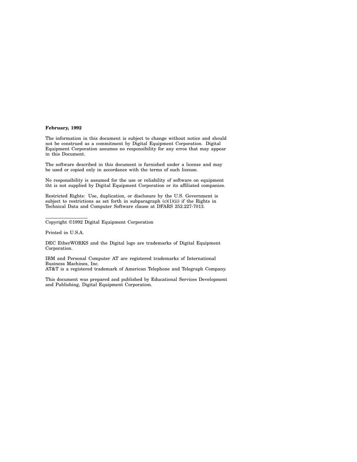#### **February, 1992**

The information in this document is subject to change without notice and should not be construed as a commitment by Digital Equipment Corporation. Digital Equipment Corporation assumes no responsibility for any erros that may appear in this Document.

The software described in this document is furnished under a license and may be used or copied only in accordance with the terms of such license.

No responsibility is assumed for the use or reliability of software on equipment tht is not supplied by Digital Equipment Corporation or its affiliated companies.

Restricted Rights: Use, duplication, or disclosure by the U.S. Government is subject to restrictions as set forth in subparagraph  $(c)(1)(ii)$  if the Rights in Technical Data and Computer Software clause at DFARS 252.227-7013.

Copyright ©1992 Digital Equipment Corporation

Printed in U.S.A.

DEC EtherWORKS and the Digital logo are trademarks of Digital Equipment Corporation.

IBM and Personal Computer AT are registered trademarks of International Business Machines, Inc.

AT&T is a registered trademark of American Telephone and Telegraph Company.

This document was prepared and published by Educational Services Development and Publishing, Digital Equipment Corporation.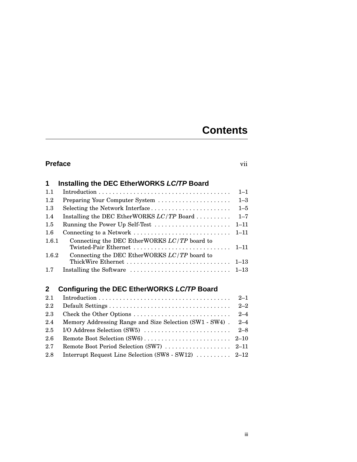## **Contents**

## **Preface** vii

|       | Installing the DEC EtherWORKS LC/TP Board                                                     |          |
|-------|-----------------------------------------------------------------------------------------------|----------|
| 1.1   |                                                                                               | $1 - 1$  |
| 1.2   | Preparing Your Computer System                                                                | $1 - 3$  |
| 1.3   | Selecting the Network Interface                                                               | $1 - 5$  |
| 1.4   | Installing the DEC EtherWORKS $LC/TP$ Board                                                   | $1 - 7$  |
| 1.5   | Running the Power Up Self-Test                                                                | $1 - 11$ |
| 1.6   | Connecting to a Network                                                                       | $1 - 11$ |
| 1.6.1 | Connecting the DEC EtherWORKS $LC/TP$ board to                                                |          |
| 1.6.2 | Connecting the DEC EtherWORKS $LC/TP$ board to                                                |          |
| 17    | Installing the Software $\ldots \ldots \ldots \ldots \ldots \ldots \ldots \ldots \ldots 1-13$ |          |

#### **2 Configuring the DEC EtherWORKS LC/TP Board**

| 2.1              |                                                             |  |
|------------------|-------------------------------------------------------------|--|
| $2.2\phantom{0}$ |                                                             |  |
| 2.3              |                                                             |  |
| 2.4              | Memory Addressing Range and Size Selection (SW1 - SW4). 2-4 |  |
| $2.5\,$          |                                                             |  |
| 2.6              |                                                             |  |
| 2.7              |                                                             |  |
| 2.8              | Interrupt Request Line Selection (SW8 - SW12)  2–12         |  |
|                  |                                                             |  |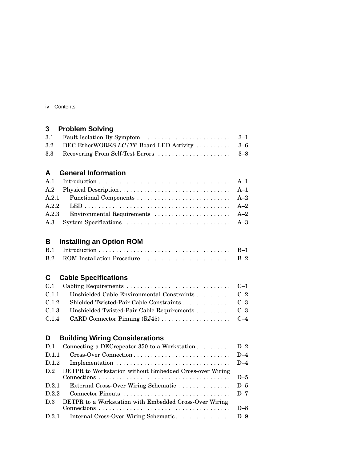| IV | Contents |
|----|----------|
|----|----------|

## **3 Problem Solving**

| 3.2 DEC EtherWORKS LC/TP Board LED Activity  3–6 |  |
|--------------------------------------------------|--|
|                                                  |  |

## **A General Information**

| A.2.3 Environmental Requirements  A-2 |
|---------------------------------------|
|                                       |
|                                       |

## **B Installing an Option ROM**

## **C Cable Specifications**

| C.1.1 Unshielded Cable Environmental Constraints  C-2 |  |
|-------------------------------------------------------|--|
| C.1.2 Shielded Twisted-Pair Cable Constraints C-3     |  |
| C.1.3 Unshielded Twisted-Pair Cable Requirements C-3  |  |
|                                                       |  |
|                                                       |  |

## **D Building Wiring Considerations**

| D.1   | Connecting a DEC repeater 350 to a Workstation D-2      |       |
|-------|---------------------------------------------------------|-------|
| D.1.1 |                                                         | $D-4$ |
| D.1.2 |                                                         |       |
| D.2   | DETPR to Workstation without Embedded Cross-over Wiring |       |
|       | $D-5$                                                   |       |
| D.2.1 | $D-5$<br>External Cross-Over Wiring Schematic           |       |
| D.2.2 |                                                         | $D-7$ |
| D.3   | DETPR to a Workstation with Embedded Cross-Over Wiring  |       |
|       |                                                         | $D-8$ |
| D.3.1 |                                                         |       |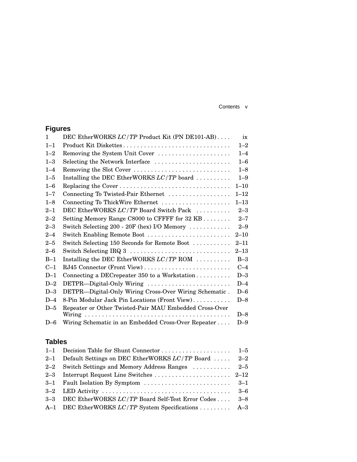#### Contents v

## **Figures**

| $\mathbf{1}$ | DEC EtherWORKS LC/TP Product Kit (PN DE101-AB)            | ix       |
|--------------|-----------------------------------------------------------|----------|
| $1 - 1$      | Product Kit Diskettes                                     | $1 - 2$  |
| $1 - 2$      | Removing the System Unit Cover                            | $1 - 4$  |
| $1 - 3$      | Selecting the Network Interface                           | $1 - 6$  |
| $1 - 4$      | Removing the Slot Cover                                   | $1 - 8$  |
| $1 - 5$      | Installing the DEC EtherWORKS $LC/TP$ board               | $1 - 9$  |
| $1 - 6$      |                                                           | $1 - 10$ |
| $1 - 7$      | Connecting To Twisted-Pair Ethernet                       | $1 - 12$ |
| $1 - 8$      | Connecting To ThickWire Ethernet                          | $1 - 13$ |
| $2 - 1$      | DEC EtherWORKS LC/TP Board Switch Pack                    | $2 - 3$  |
| $2 - 2$      | Setting Memory Range C8000 to CFFFF for 32 KB             | $2 - 7$  |
| $2 - 3$      | Switch Selecting 200 - 20F (hex) I/O Memory               | $2 - 9$  |
| $2 - 4$      | Switch Enabling Remote Boot                               | $2 - 10$ |
| $2 - 5$      | Switch Selecting 150 Seconds for Remote Boot              | $2 - 11$ |
| $2 - 6$      |                                                           | $2 - 13$ |
| $B-1$        | Installing the DEC EtherWORKS $LC/TP$ ROM $\ldots \ldots$ | $B-3$    |
| $C-1$        | RJ45 Connector (Front View)                               | $C-4$    |
| $D-1$        | Connecting a DECrepeater 350 to a Workstation             | $D-3$    |
| $D-2$        | DETPR-Digital-Only Wiring                                 | $D-4$    |
| $D-3$        | DETPR-Digital-Only Wiring Cross-Over Wiring Schematic.    | $D-6$    |
| $D-4$        | 8-Pin Modular Jack Pin Locations (Front View)             | $D-8$    |
| $D-5$        | Repeater or Other Twisted-Pair MAU Embedded Cross-Over    |          |
|              |                                                           | $D-8$    |
| $D-6$        | Wiring Schematic in an Embedded Cross-Over Repeater       | $D-9$    |

## **Tables**

| 2-1 Default Settings on DEC EtherWORKS LC/TP Board  2-2   |  |
|-----------------------------------------------------------|--|
| 2-2 Switch Settings and Memory Address Ranges  2-5        |  |
|                                                           |  |
|                                                           |  |
|                                                           |  |
| 3-3 DEC EtherWORKS LC/TP Board Self-Test Error Codes  3-8 |  |
| A-1 DEC EtherWORKS LC/TP System Specifications A-3        |  |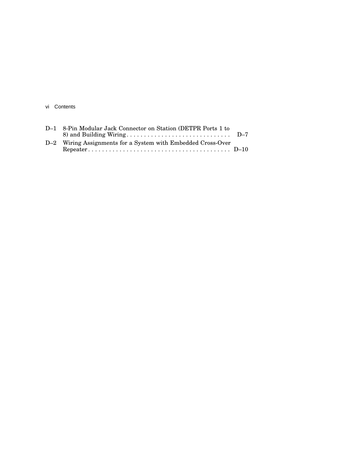vi Contents

| D-1 8-Pin Modular Jack Connector on Station (DETPR Ports 1 to |  |
|---------------------------------------------------------------|--|
|                                                               |  |
| D-2 Wiring Assignments for a System with Embedded Cross-Over  |  |
|                                                               |  |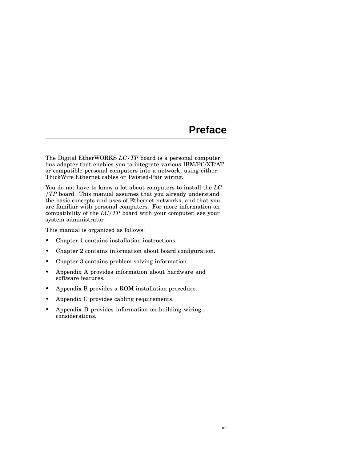## **Preface**

The Digital EtherWORKS *LC/TP* board is a personal computer bus adapter that enables you to integrate various IBM/PC/XT/AT or compatible personal computers into a network, using either ThickWire Ethernet cables or Twisted-Pair wiring.

You do not have to know a lot about computers to install the *LC /TP* board. This manual assumes that you already understand the basic concepts and uses of Ethernet networks, and that you are familiar with personal computers. For more information on compatibility of the *LC/TP* board with your computer, see your system administrator.

This manual is organized as follows:

- Chapter 1 contains installation instructions.
- Chapter 2 contains information about board configuration.
- Chapter 3 contains problem solving information.
- Appendix A provides information about hardware and software features.
- Appendix B provides a ROM installation procedure.
- Appendix C provides cabling requirements.
- Appendix D provides information on building wiring considerations.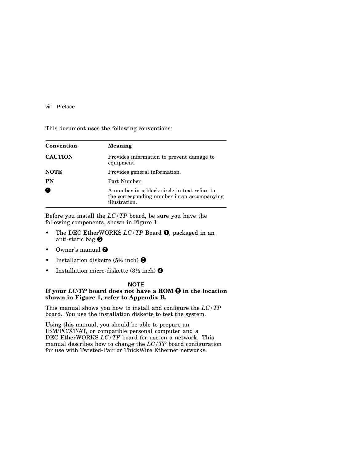#### viii Preface

This document uses the following conventions:

| Convention     | <b>Meaning</b>                                                                                               |
|----------------|--------------------------------------------------------------------------------------------------------------|
| <b>CAUTION</b> | Provides information to prevent damage to<br>equipment.                                                      |
| <b>NOTE</b>    | Provides general information.                                                                                |
| <b>PN</b>      | Part Number.                                                                                                 |
| 0              | A number in a black circle in text refers to<br>the corresponding number in an accompanying<br>illustration. |

Before you install the *LC/TP* board, be sure you have the following components, shown in Figure 1.

- The DEC EtherWORKS *LC/TP* Board **0**, packaged in an anti-static bag
- Owner's manual  $\Theta$
- Installation diskette  $(5\frac{1}{4} \text{ inch})$  8
- Installation micro-diskette  $(3\frac{1}{2} \text{ inch})$   $\bullet$

#### **NOTE**

#### **If your** *LC/TP* **board does not have a ROM in the location shown in Figure 1, refer to Appendix B.**

This manual shows you how to install and configure the *LC/TP* board. You use the installation diskette to test the system.

Using this manual, you should be able to prepare an IBM/PC/XT/AT, or compatible personal computer and a DEC EtherWORKS *LC/TP* board for use on a network. This manual describes how to change the *LC/TP* board configuration for use with Twisted-Pair or ThickWire Ethernet networks.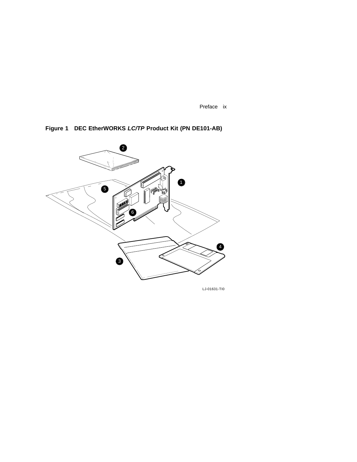Preface ix



**Figure 1 DEC EtherWORKS LC/TP Product Kit (PN DE101-AB)**

LJ-01631-TI0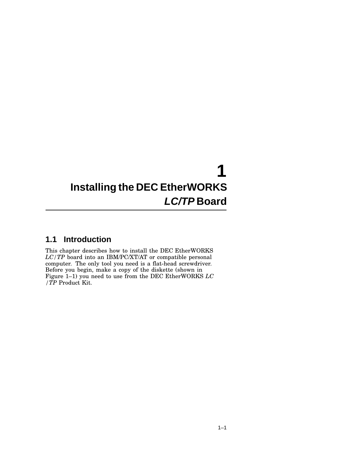## **1 Installing the DEC EtherWORKS LC/TP Board**

## **1.1 Introduction**

This chapter describes how to install the DEC EtherWORKS *LC/TP* board into an IBM/PC/XT/AT or compatible personal computer. The only tool you need is a flat-head screwdriver. Before you begin, make a copy of the diskette (shown in Figure 1–1) you need to use from the DEC EtherWORKS *LC /TP* Product Kit.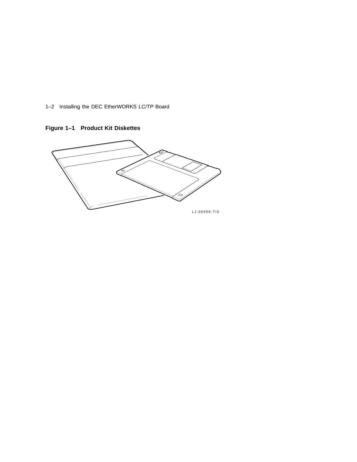1–2 Installing the DEC EtherWORKS LC/TP Board



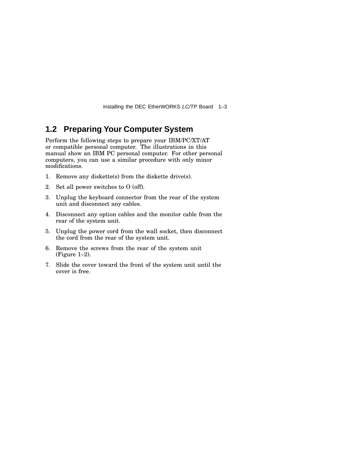Installing the DEC EtherWORKS LC/TP Board 1–3

## **1.2 Preparing Your Computer System**

Perform the following steps to prepare your IBM/PC/XT/AT or compatible personal computer. The illustrations in this manual show an IBM PC personal computer. For other personal computers, you can use a similar procedure with only minor modifications.

- 1. Remove any diskette(s) from the diskette drive(s).
- 2. Set all power switches to O (off).
- 3. Unplug the keyboard connector from the rear of the system unit and disconnect any cables.
- 4. Disconnect any option cables and the monitor cable from the rear of the system unit.
- 5. Unplug the power cord from the wall socket, then disconnect the cord from the rear of the system unit.
- 6. Remove the screws from the rear of the system unit (Figure 1–2).
- 7. Slide the cover toward the front of the system unit until the cover is free.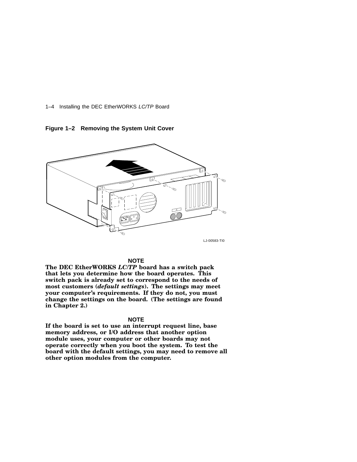1–4 Installing the DEC EtherWORKS LC/TP Board

**Figure 1–2 Removing the System Unit Cover**



#### **NOTE**

**The DEC EtherWORKS** *LC/TP* **board has a switch pack that lets you determine how the board operates. This switch pack is already set to correspond to the needs of most customers (***default settings***). The settings may meet your computer's requirements. If they do not, you must change the settings on the board. (The settings are found in Chapter 2.)**

#### **NOTE**

**If the board is set to use an interrupt request line, base memory address, or I/O address that another option module uses, your computer or other boards may not operate correctly when you boot the system. To test the board with the default settings, you may need to remove all other option modules from the computer.**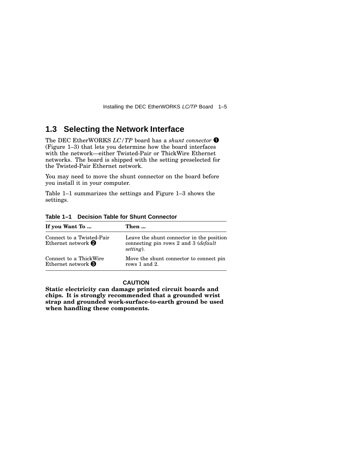Installing the DEC EtherWORKS LC/TP Board 1–5

## **1.3 Selecting the Network Interface**

The DEC EtherWORKS *LC/TP* board has a *shunt connector* (Figure 1–3) that lets you determine how the board interfaces with the network—either Twisted-Pair or ThickWire Ethernet networks. The board is shipped with the setting preselected for the Twisted-Pair Ethernet network.

You may need to move the shunt connector on the board before you install it in your computer.

Table 1–1 summarizes the settings and Figure 1–3 shows the settings.

| If you Want To                                                   | Then                                                                                                     |
|------------------------------------------------------------------|----------------------------------------------------------------------------------------------------------|
| Connect to a Twisted-Pair<br>Ethernet network $\bullet$          | Leave the shunt connector in the position<br>connecting pin rows 2 and 3 ( <i>default</i> )<br>setting). |
| Connect to a ThickWire<br>Ethernet network $\boldsymbol{\Theta}$ | Move the shunt connector to connect pin<br>rows 1 and 2.                                                 |

**Table 1–1 Decision Table for Shunt Connector**

#### **CAUTION**

**Static electricity can damage printed circuit boards and chips. It is strongly recommended that a grounded wrist strap and grounded work-surface-to-earth ground be used when handling these components.**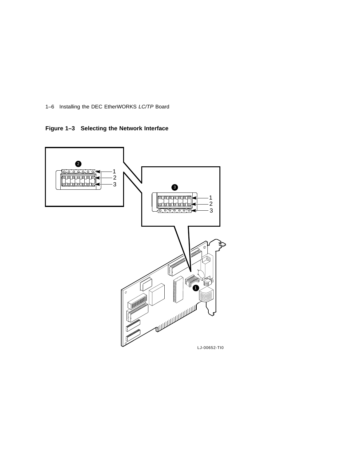1–6 Installing the DEC EtherWORKS LC/TP Board

**Figure 1–3 Selecting the Network Interface**

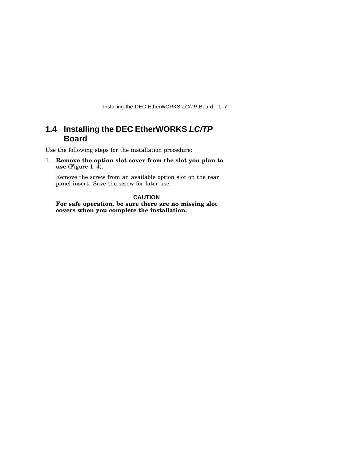Installing the DEC EtherWORKS LC/TP Board 1–7

## **1.4 Installing the DEC EtherWORKS LC/TP Board**

Use the following steps for the installation procedure:

1. **Remove the option slot cover from the slot you plan to use** (Figure  $1-\overline{4}$ ).

Remove the screw from an available option slot on the rear panel insert. Save the screw for later use.

**CAUTION For safe operation, be sure there are no missing slot covers when you complete the installation.**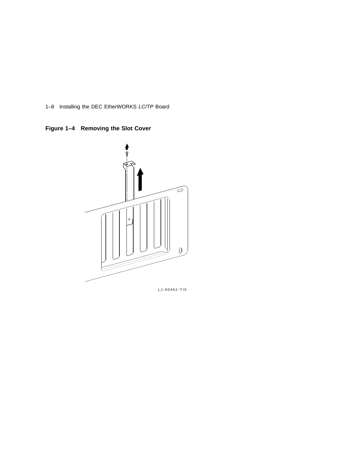1–8 Installing the DEC EtherWORKS LC/TP Board

**Figure 1–4 Removing the Slot Cover**



LJ-00462-TI0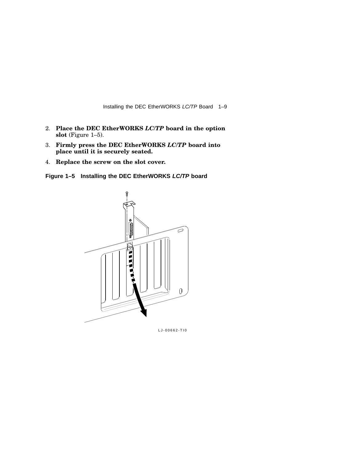Installing the DEC EtherWORKS LC/TP Board 1–9

- 2. **Place the DEC EtherWORKS** *LC/TP* **board in the option slot** (Figure 1–5).
- 3. **Firmly press the DEC EtherWORKS** *LC/TP* **board into place until it is securely seated.**
- 4. **Replace the screw on the slot cover.**

**Figure 1–5 Installing the DEC EtherWORKS LC/TP board**



LJ-00662-TI0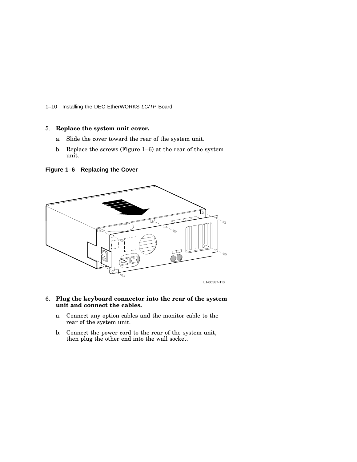1–10 Installing the DEC EtherWORKS LC/TP Board

#### 5. **Replace the system unit cover.**

- a. Slide the cover toward the rear of the system unit.
- b. Replace the screws (Figure 1–6) at the rear of the system unit.

**Figure 1–6 Replacing the Cover**



#### 6. **Plug the keyboard connector into the rear of the system unit and connect the cables.**

- a. Connect any option cables and the monitor cable to the rear of the system unit.
- b. Connect the power cord to the rear of the system unit, then plug the other end into the wall socket.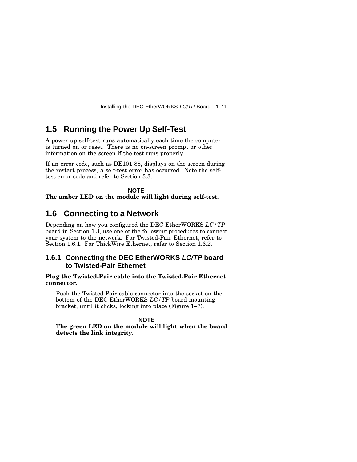Installing the DEC EtherWORKS LC/TP Board 1–11

### **1.5 Running the Power Up Self-Test**

A power up self-test runs automatically each time the computer is turned on or reset. There is no on-screen prompt or other information on the screen if the test runs properly.

If an error code, such as DE101 88, displays on the screen during the restart process, a self-test error has occurred. Note the selftest error code and refer to Section 3.3.

**NOTE The amber LED on the module will light during self-test.**

### **1.6 Connecting to a Network**

Depending on how you configured the DEC EtherWORKS *LC/TP* board in Section 1.3, use one of the following procedures to connect your system to the network. For Twisted-Pair Ethernet, refer to Section 1.6.1. For ThickWire Ethernet, refer to Section 1.6.2.

#### **1.6.1 Connecting the DEC EtherWORKS LC/TP board to Twisted-Pair Ethernet**

#### **Plug the Twisted-Pair cable into the Twisted-Pair Ethernet connector.**

Push the Twisted-Pair cable connector into the socket on the bottom of the DEC EtherWORKS *LC/TP* board mounting bracket, until it clicks, locking into place (Figure 1–7).

#### **NOTE**

**The green LED on the module will light when the board detects the link integrity.**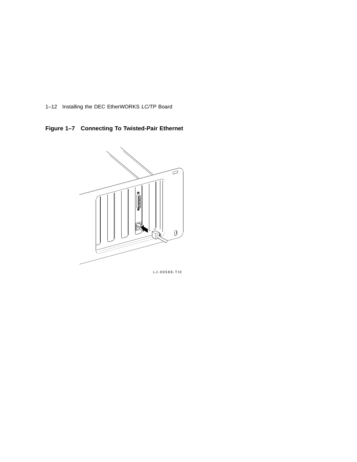1–12 Installing the DEC EtherWORKS LC/TP Board

**Figure 1–7 Connecting To Twisted-Pair Ethernet**



LJ-00588-TI0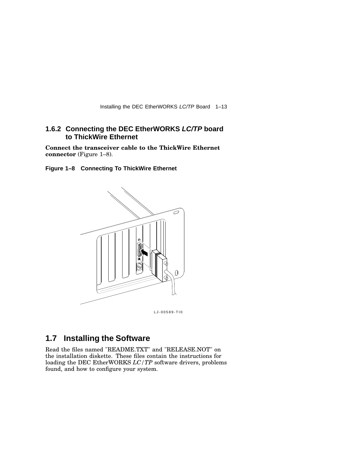Installing the DEC EtherWORKS LC/TP Board 1–13

#### **1.6.2 Connecting the DEC EtherWORKS LC/TP board to ThickWire Ethernet**

**Connect the transceiver cable to the ThickWire Ethernet connector** (Figure 1–8).

**Figure 1–8 Connecting To ThickWire Ethernet**



LJ-00589-TI0

## **1.7 Installing the Software**

Read the files named "README.TXT" and "RELEASE.NOT" on the installation diskette. These files contain the instructions for loading the DEC EtherWORKS *LC/TP* software drivers, problems found, and how to configure your system.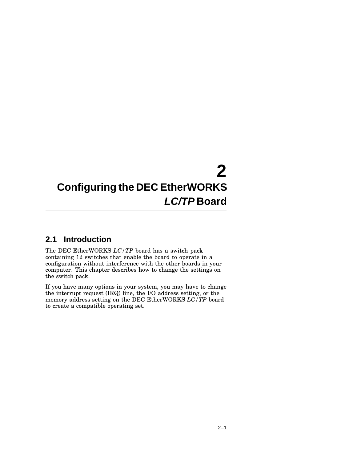## **2 Configuring the DEC EtherWORKS LC/TP Board**

## **2.1 Introduction**

The DEC EtherWORKS *LC/TP* board has a switch pack containing 12 switches that enable the board to operate in a configuration without interference with the other boards in your computer. This chapter describes how to change the settings on the switch pack.

If you have many options in your system, you may have to change the interrupt request (IRQ) line, the I/O address setting, or the memory address setting on the DEC EtherWORKS *LC/TP* board to create a compatible operating set.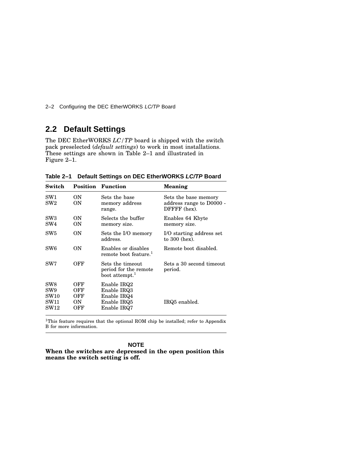2–2 Configuring the DEC EtherWORKS LC/TP Board

## **2.2 Default Settings**

The DEC EtherWORKS *LC/TP* board is shipped with the switch pack preselected (*default settings*) to work in most installations. These settings are shown in Table 2–1 and illustrated in Figure 2–1.

| Switch                                                 |                                 | <b>Position Function</b>                                                | Meaning                                                          |
|--------------------------------------------------------|---------------------------------|-------------------------------------------------------------------------|------------------------------------------------------------------|
| SW1<br>SW2                                             | <b>ON</b><br>0N                 | Sets the base<br>memory address<br>range.                               | Sets the base memory<br>address range to D0000 -<br>DFFFF (hex). |
| $\rm SW3$<br>SW4                                       | <b>ON</b><br>ON                 | Selects the buffer<br>memory size.                                      | Enables 64 Kbyte<br>memory size.                                 |
| SW5                                                    | OΝ                              | Sets the I/O memory<br>address.                                         | I/O starting address set<br>to 300 (hex).                        |
| SW <sub>6</sub>                                        | OΝ                              | Enables or disables<br>remote boot feature. <sup>1</sup>                | Remote boot disabled.                                            |
| SW7                                                    | OFF                             | Sets the timeout<br>period for the remote<br>boot attempt. <sup>1</sup> | Sets a 30 second timeout<br>period.                              |
| SW8<br>SW <sub>9</sub><br>SW10<br>SW11<br>${\rm SW12}$ | OFF<br>OFF<br>OFF<br>ON.<br>OFF | Enable IRQ2<br>Enable IRQ3<br>Enable IRQ4<br>Enable IRQ5<br>Enable IRQ7 | IRQ5 enabled.                                                    |

**Table 2–1 Default Settings on DEC EtherWORKS LC/TP Board**

<sup>1</sup>This feature requires that the optional ROM chip be installed; refer to Appendix B for more information.

**NOTE**

**When the switches are depressed in the open position this means the switch setting is off.**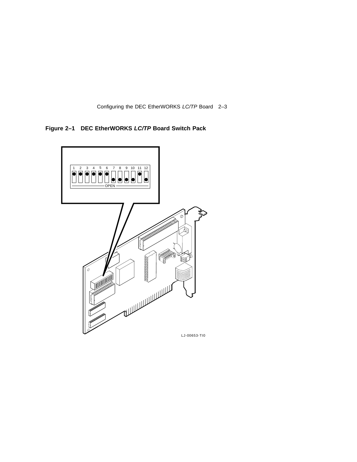Configuring the DEC EtherWORKS LC/TP Board 2–3

**Figure 2–1 DEC EtherWORKS LC/TP Board Switch Pack**

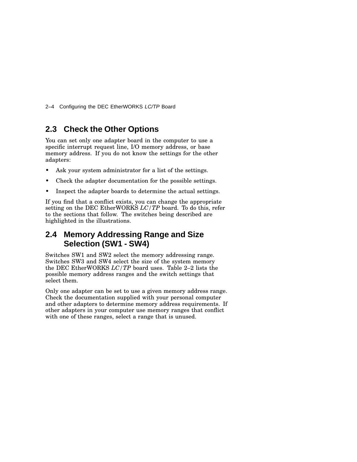2–4 Configuring the DEC EtherWORKS LC/TP Board

## **2.3 Check the Other Options**

You can set only one adapter board in the computer to use a specific interrupt request line, I/O memory address, or base memory address. If you do not know the settings for the other adapters:

- Ask your system administrator for a list of the settings.
- Check the adapter documentation for the possible settings.
- Inspect the adapter boards to determine the actual settings.

If you find that a conflict exists, you can change the appropriate setting on the DEC EtherWORKS *LC/TP* board. To do this, refer to the sections that follow. The switches being described are highlighted in the illustrations.

## **2.4 Memory Addressing Range and Size Selection (SW1 - SW4)**

Switches SW1 and SW2 select the memory addressing range. Switches SW3 and SW4 select the size of the system memory the DEC EtherWORKS *LC/TP* board uses. Table 2–2 lists the possible memory address ranges and the switch settings that select them.

Only one adapter can be set to use a given memory address range. Check the documentation supplied with your personal computer and other adapters to determine memory address requirements. If other adapters in your computer use memory ranges that conflict with one of these ranges, select a range that is unused.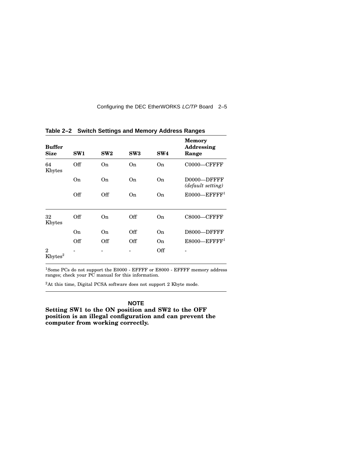#### Configuring the DEC EtherWORKS LC/TP Board 2–5

| <b>Buffer</b><br><b>Size</b>             | SW1 | SW2 | SW3 | SW4 | <b>Memory</b><br>Addressing<br>Range |
|------------------------------------------|-----|-----|-----|-----|--------------------------------------|
| 64<br>Kbytes                             | Off | On  | On  | On  | $C0000-CFFFFF$                       |
|                                          | On  | 0n  | On  | On  | D0000-DFFFF<br>(default setting)     |
|                                          | Off | Off | 0n  | On  | $E0000$ —EFFFF <sup>1</sup>          |
| 32<br>Kbytes                             | Off | On  | Off | On  | C8000-CFFFF                          |
|                                          | On  | 0n  | Off | On  | D8000-DFFFF                          |
|                                          | Off | Off | Off | On  | $E8000$ -EFFFF <sup>1</sup>          |
| $\overline{2}$<br>$K$ bytes <sup>2</sup> |     |     |     | Off |                                      |

**Table 2–2 Switch Settings and Memory Address Ranges**

<sup>1</sup>Some PCs do not support the E0000 - EFFFF or E8000 - EFFFF memory address ranges; check your PC manual for this information.

<sup>2</sup>At this time, Digital PCSA software does not support 2 Kbyte mode.

#### **NOTE**

**Setting SW1 to the ON position and SW2 to the OFF position is an illegal configuration and can prevent the computer from working correctly.**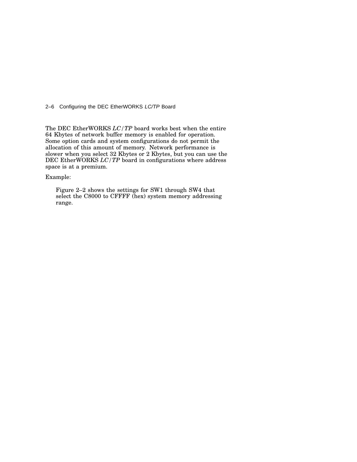2–6 Configuring the DEC EtherWORKS LC/TP Board

The DEC EtherWORKS *LC/TP* board works best when the entire 64 Kbytes of network buffer memory is enabled for operation. Some option cards and system configurations do not permit the allocation of this amount of memory. Network performance is slower when you select 32 Kbytes or 2 Kbytes, but you can use the DEC EtherWORKS *LC/TP* board in configurations where address space is at a premium.

Example:

Figure 2–2 shows the settings for SW1 through SW4 that select the C8000 to CFFFF (hex) system memory addressing range.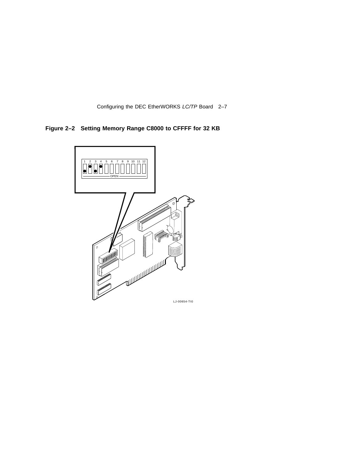Configuring the DEC EtherWORKS LC/TP Board 2–7

**Figure 2–2 Setting Memory Range C8000 to CFFFF for 32 KB**

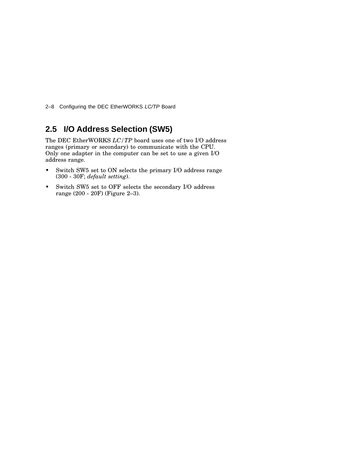2–8 Configuring the DEC EtherWORKS LC/TP Board

## **2.5 I/O Address Selection (SW5)**

The DEC EtherWORKS *LC/TP* board uses one of two I/O address ranges (primary or secondary) to communicate with the CPU. Only one adapter in the computer can be set to use a given I/O address range.

- Switch SW5 set to ON selects the primary I/O address range (300 - 30F; *default setting*).
- Switch SW5 set to OFF selects the secondary I/O address range (200 - 20F) (Figure 2–3).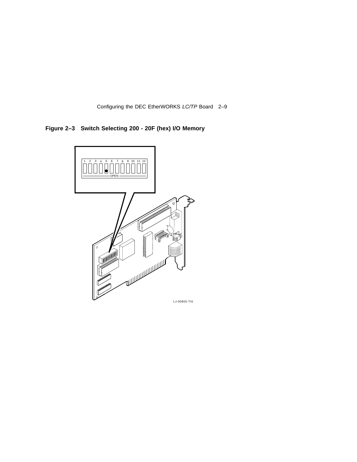Configuring the DEC EtherWORKS LC/TP Board 2–9

**Figure 2–3 Switch Selecting 200 - 20F (hex) I/O Memory**

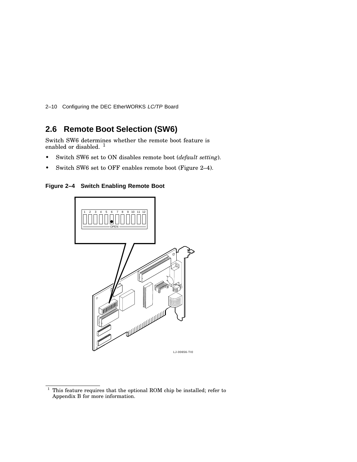2–10 Configuring the DEC EtherWORKS LC/TP Board

## **2.6 Remote Boot Selection (SW6)**

Switch SW6 determines whether the remote boot feature is enabled or disabled.<sup>1</sup>

- Switch SW6 set to ON disables remote boot (*default setting*).
- Switch SW6 set to OFF enables remote boot (Figure 2–4).

**Figure 2–4 Switch Enabling Remote Boot**



 $1$  This feature requires that the optional ROM chip be installed; refer to Appendix B for more information.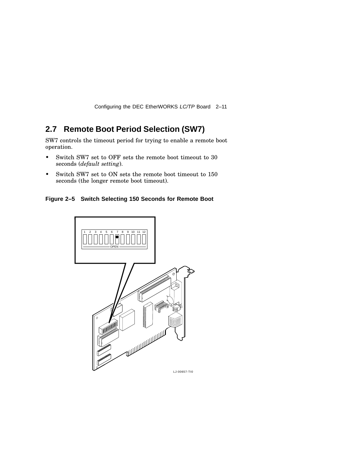Configuring the DEC EtherWORKS LC/TP Board 2–11

## **2.7 Remote Boot Period Selection (SW7)**

SW7 controls the timeout period for trying to enable a remote boot operation.

- Switch SW7 set to OFF sets the remote boot timeout to 30 seconds (*default setting*).
- Switch SW7 set to ON sets the remote boot timeout to 150 seconds (the longer remote boot timeout).

**Figure 2–5 Switch Selecting 150 Seconds for Remote Boot**

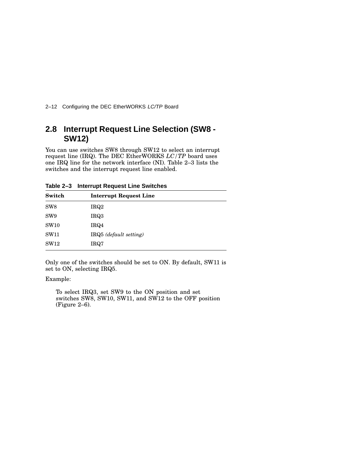2-12 Configuring the DEC EtherWORKS LC/TP Board

## **2.8 Interrupt Request Line Selection (SW8 - SW12)**

You can use switches SW8 through SW12 to select an interrupt request line (IRQ). The DEC EtherWORKS *LC/TP* board uses one IRQ line for the network interface (NI). Table 2–3 lists the switches and the interrupt request line enabled.

| Switch          | <b>Interrupt Request Line</b> |
|-----------------|-------------------------------|
| SW <sub>8</sub> | IRQ2                          |
| SW <sub>9</sub> | IRQ3                          |
| <b>SW10</b>     | IRQ4                          |
| <b>SW11</b>     | IRQ5 (default setting)        |
| SW12            | IRQ7                          |

**Table 2–3 Interrupt Request Line Switches**

Only one of the switches should be set to ON. By default, SW11 is set to ON, selecting IRQ5.

Example:

To select IRQ3, set SW9 to the ON position and set switches SW8, SW10, SW11, and SW12 to the OFF position (Figure 2–6).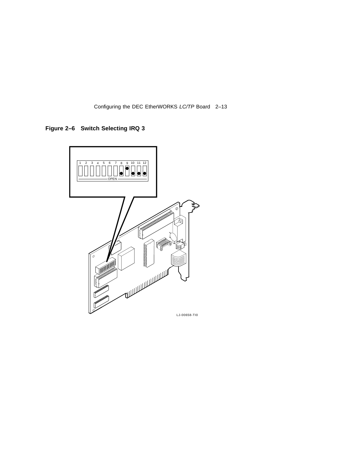Configuring the DEC EtherWORKS LC/TP Board 2–13

**Figure 2–6 Switch Selecting IRQ 3**

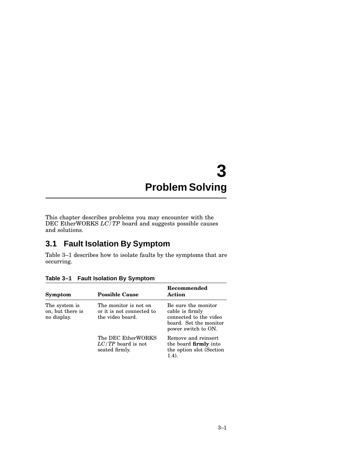## **3 Problem Solving**

This chapter describes problems you may encounter with the DEC EtherWORKS *LC/TP* board and suggests possible causes and solutions.

### **3.1 Fault Isolation By Symptom**

Table 3–1 describes how to isolate faults by the symptoms that are occurring.

| Symptom                                          | <b>Possible Cause</b>                                                  | Recommended<br>Action                                                                                             |
|--------------------------------------------------|------------------------------------------------------------------------|-------------------------------------------------------------------------------------------------------------------|
| The system is<br>on, but there is<br>no display. | The monitor is not on<br>or it is not connected to<br>the video board. | Be sure the monitor<br>cable is firmly<br>connected to the video<br>board. Set the monitor<br>power switch to ON. |
|                                                  | The DEC EtherWORKS<br>$LC/TP$ board is not<br>seated firmly.           | Remove and reinsert<br>the board <b>firmly</b> into<br>the option slot (Section<br>1.4).                          |

**Table 3–1 Fault Isolation By Symptom**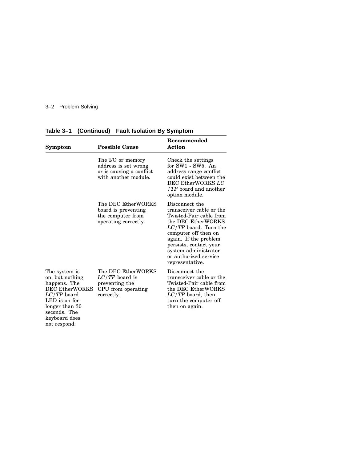#### 3–2 Problem Solving

| Symptom                                                                                                                                                                        | <b>Possible Cause</b>                                                                         | Recommended<br>Action                                                                                                                                                                                                                                                 |
|--------------------------------------------------------------------------------------------------------------------------------------------------------------------------------|-----------------------------------------------------------------------------------------------|-----------------------------------------------------------------------------------------------------------------------------------------------------------------------------------------------------------------------------------------------------------------------|
|                                                                                                                                                                                | The I/O or memory<br>address is set wrong<br>or is causing a conflict<br>with another module. | Check the settings<br>for SW1 - SW5. An<br>address range conflict<br>could exist between the<br>DEC EtherWORKS LC<br>/ $TP$ board and another<br>option module.                                                                                                       |
|                                                                                                                                                                                | The DEC EtherWORKS<br>board is preventing<br>the computer from<br>operating correctly.        | Disconnect the<br>transceiver cable or the<br>Twisted-Pair cable from<br>the DEC EtherWORKS<br>$LC/TP$ board. Turn the<br>computer off then on<br>again. If the problem<br>persists, contact your<br>system administrator<br>or authorized service<br>representative. |
| The system is<br>on, but nothing<br>happens. The<br><b>DEC EtherWORKS</b><br>$LC/TP$ board<br>LED is on for<br>longer than 30<br>seconds. The<br>keyboard does<br>not respond. | The DEC EtherWORKS<br>$LC/TP$ board is<br>preventing the<br>CPU from operating<br>correctly.  | Disconnect the<br>transceiver cable or the<br>Twisted-Pair cable from<br>the DEC EtherWORKS<br>$LC/TP$ board, then<br>turn the computer off<br>then on again.                                                                                                         |

**Table 3–1 (Continued) Fault Isolation By Symptom**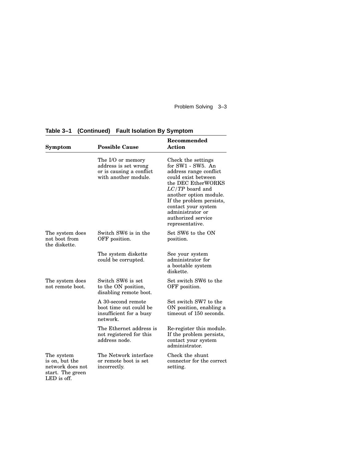Problem Solving 3–3

| Symptom                                                                             | <b>Possible Cause</b>                                                                         | Recommended<br>Action                                                                                                                                                                                                                                                         |
|-------------------------------------------------------------------------------------|-----------------------------------------------------------------------------------------------|-------------------------------------------------------------------------------------------------------------------------------------------------------------------------------------------------------------------------------------------------------------------------------|
|                                                                                     | The I/O or memory<br>address is set wrong<br>or is causing a conflict<br>with another module. | Check the settings<br>for SW1 - SW5. An<br>address range conflict<br>could exist between<br>the DEC EtherWORKS<br>$LC/TP$ board and<br>another option module.<br>If the problem persists,<br>contact your system<br>administrator or<br>authorized service<br>representative. |
| The system does<br>not boot from<br>the diskette.                                   | Switch SW6 is in the<br>OFF position.                                                         | Set SW6 to the ON<br>position.                                                                                                                                                                                                                                                |
|                                                                                     | The system diskette<br>could be corrupted.                                                    | See your system<br>administrator for<br>a bootable system<br>diskette.                                                                                                                                                                                                        |
| The system does<br>not remote boot.                                                 | Switch SW6 is set<br>to the ON position,<br>disabling remote boot.                            | Set switch SW6 to the<br>OFF position.                                                                                                                                                                                                                                        |
|                                                                                     | A 30-second remote<br>boot time out could be<br>insufficient for a busy<br>network.           | Set switch SW7 to the<br>ON position, enabling a<br>timeout of 150 seconds.                                                                                                                                                                                                   |
|                                                                                     | The Ethernet address is<br>not registered for this<br>address node.                           | Re-register this module.<br>If the problem persists,<br>contact your system<br>administrator.                                                                                                                                                                                 |
| The system<br>is on, but the<br>network does not<br>start. The green<br>LED is off. | The Network interface<br>or remote boot is set<br>incorrectly.                                | Check the shunt<br>connector for the correct<br>setting.                                                                                                                                                                                                                      |

**Table 3–1 (Continued) Fault Isolation By Symptom**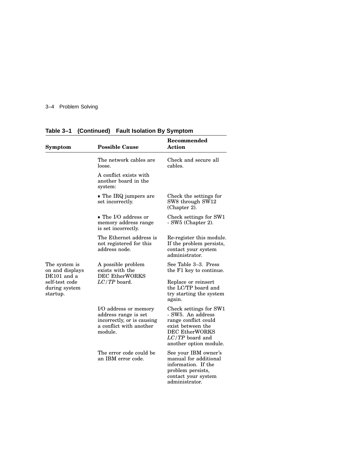#### 3–4 Problem Solving

| Symptom                                                                                        | <b>Possible Cause</b>                                                                                             | Recommended<br><b>Action</b>                                                                                                                                     |
|------------------------------------------------------------------------------------------------|-------------------------------------------------------------------------------------------------------------------|------------------------------------------------------------------------------------------------------------------------------------------------------------------|
|                                                                                                | The network cables are<br>loose.                                                                                  | Check and secure all<br>cables.                                                                                                                                  |
|                                                                                                | A conflict exists with<br>another board in the<br>system:                                                         |                                                                                                                                                                  |
|                                                                                                | • The IRQ jumpers are<br>set incorrectly.                                                                         | Check the settings for<br>SW8 through SW12<br>(Chapter 2).                                                                                                       |
|                                                                                                | • The I/O address or<br>memory address range<br>is set incorrectly.                                               | Check settings for SW1<br>- SW5 (Chapter 2).                                                                                                                     |
|                                                                                                | The Ethernet address is<br>not registered for this<br>address node.                                               | Re-register this module.<br>If the problem persists,<br>contact your system<br>administrator.                                                                    |
| The system is<br>on and displays<br>DE101 and a<br>self-test code<br>during system<br>startup. | A possible problem<br>exists with the<br><b>DEC EtherWORKS</b>                                                    | See Table 3–3. Press<br>the F1 key to continue.                                                                                                                  |
|                                                                                                | $LC/TP$ board.                                                                                                    | Replace or reinsert<br>the LC/TP board and<br>try starting the system<br>again.                                                                                  |
|                                                                                                | I/O address or memory<br>address range is set<br>incorrectly, or is causing<br>a conflict with another<br>module. | Check settings for SW1<br>- SW5. An address<br>range conflict could<br>exist between the<br><b>DEC EtherWORKS</b><br>$LC/TP$ board and<br>another option module. |
|                                                                                                | The error code could be<br>an IBM error code.                                                                     | See your IBM owner's<br>manual for additional<br>information. If the<br>problem persists,<br>contact your system<br>administrator.                               |

**Table 3–1 (Continued) Fault Isolation By Symptom**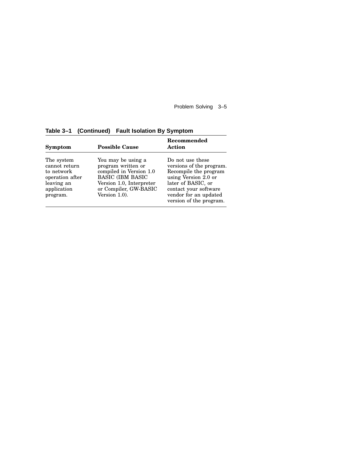Problem Solving 3–5

| Symptom                                                                                               | <b>Possible Cause</b>                                                                                                                                                | Recommended<br>Action                                                                                                                                                                            |
|-------------------------------------------------------------------------------------------------------|----------------------------------------------------------------------------------------------------------------------------------------------------------------------|--------------------------------------------------------------------------------------------------------------------------------------------------------------------------------------------------|
| The system<br>cannot return<br>to network<br>operation after<br>leaving an<br>application<br>program. | You may be using a<br>program written or<br>compiled in Version 1.0<br><b>BASIC (IBM BASIC</b><br>Version 1.0, Interpreter<br>or Compiler, GW-BASIC<br>Version 1.0). | Do not use these<br>versions of the program.<br>Recompile the program<br>using Version 2.0 or<br>later of BASIC, or<br>contact your software<br>vendor for an updated<br>version of the program. |

**Table 3–1 (Continued) Fault Isolation By Symptom**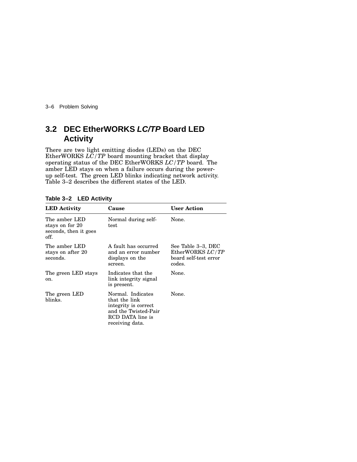3–6 Problem Solving

## **3.2 DEC EtherWORKS LC/TP Board LED Activity**

There are two light emitting diodes (LEDs) on the DEC EtherWORKS *LC/TP* board mounting bracket that display operating status of the DEC EtherWORKS *LC/TP* board. The amber LED stays on when a failure occurs during the powerup self-test. The green LED blinks indicating network activity. Table 3–2 describes the different states of the LED.

| <b>LED</b> Activity                                               | Cause                                                                                                                      | <b>User Action</b>                                                        |
|-------------------------------------------------------------------|----------------------------------------------------------------------------------------------------------------------------|---------------------------------------------------------------------------|
| The amber LED<br>stays on for 20<br>seconds, then it goes<br>off. | Normal during self-<br>test                                                                                                | None.                                                                     |
| The amber LED<br>stays on after 20<br>seconds.                    | A fault has occurred<br>and an error number<br>displays on the<br>screen.                                                  | See Table 3–3, DEC<br>EtherWORKS LC/TP<br>board self-test error<br>codes. |
| The green LED stays<br>on.                                        | Indicates that the<br>link integrity signal<br>is present.                                                                 | None.                                                                     |
| The green LED<br>blinks.                                          | Normal. Indicates<br>that the link<br>integrity is correct.<br>and the Twisted-Pair<br>RCD DATA line is<br>receiving data. | None.                                                                     |

#### **Table 3–2 LED Activity**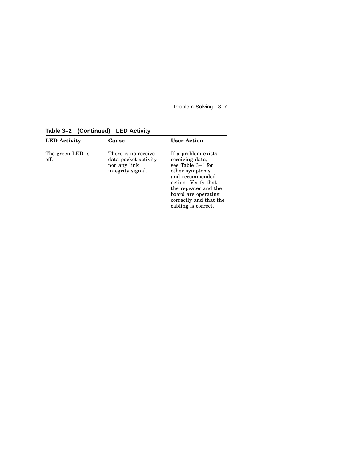Problem Solving 3–7

**Table 3–2 (Continued) LED Activity**

| <b>LED</b> Activity      | Cause                                                                            | <b>User Action</b>                                                                                                                                                                                                      |
|--------------------------|----------------------------------------------------------------------------------|-------------------------------------------------------------------------------------------------------------------------------------------------------------------------------------------------------------------------|
| The green LED is<br>off. | There is no receive<br>data packet activity<br>nor any link<br>integrity signal. | If a problem exists<br>receiving data,<br>see Table 3–1 for<br>other symptoms<br>and recommended<br>action. Verify that<br>the repeater and the<br>board are operating<br>correctly and that the<br>cabling is correct. |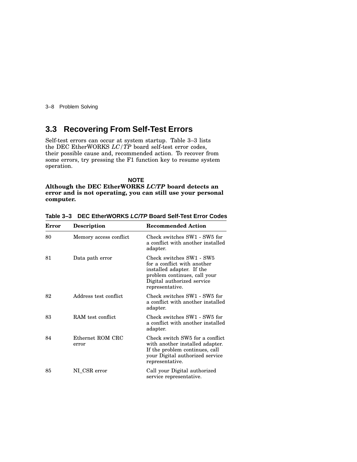3–8 Problem Solving

## **3.3 Recovering From Self-Test Errors**

Self-test errors can occur at system startup. Table 3–3 lists the DEC EtherWORKS *LC/TP* board self-test error codes, their possible cause and, recommended action. To recover from some errors, try pressing the F1 function key to resume system operation.

**NOTE Although the DEC EtherWORKS** *LC/TP* **board detects an error and is not operating, you can still use your personal computer.**

| Error | <b>Description</b>        | <b>Recommended Action</b>                                                                                                                                             |
|-------|---------------------------|-----------------------------------------------------------------------------------------------------------------------------------------------------------------------|
| 80    | Memory access conflict    | Check switches SW1 - SW5 for<br>a conflict with another installed<br>adapter.                                                                                         |
| 81    | Data path error           | Check switches SW1 - SW5<br>for a conflict with another<br>installed adapter. If the<br>problem continues, call your<br>Digital authorized service<br>representative. |
| 82    | Address test conflict     | Check switches SW1 - SW5 for<br>a conflict with another installed<br>adapter.                                                                                         |
| 83    | RAM test conflict.        | Check switches SW1 - SW5 for<br>a conflict with another installed<br>adapter.                                                                                         |
| 84    | Ethernet ROM CRC<br>error | Check switch SW5 for a conflict<br>with another installed adapter.<br>If the problem continues, call<br>your Digital authorized service<br>representative.            |
| 85    | NI CSR error              | Call your Digital authorized<br>service representative.                                                                                                               |

**Table 3–3 DEC EtherWORKS LC/TP Board Self-Test Error Codes**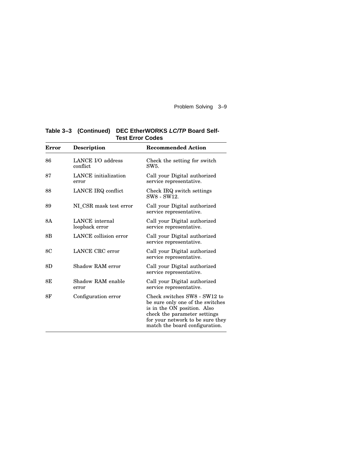Problem Solving 3–9

| Error | <b>Description</b>               | <b>Recommended Action</b>                                                                                                                                                                             |
|-------|----------------------------------|-------------------------------------------------------------------------------------------------------------------------------------------------------------------------------------------------------|
| 86    | LANCE I/O address<br>conflict.   | Check the setting for switch<br>SW5                                                                                                                                                                   |
| 87    | LANCE initialization<br>error    | Call your Digital authorized<br>service representative.                                                                                                                                               |
| 88    | LANCE IRQ conflict               | Check IRQ switch settings<br>SW8 - SW12.                                                                                                                                                              |
| 89    | NI CSR mask test error           | Call your Digital authorized<br>service representative.                                                                                                                                               |
| 8A    | LANCE internal<br>loopback error | Call your Digital authorized<br>service representative.                                                                                                                                               |
| 8Β    | LANCE collision error            | Call your Digital authorized<br>service representative.                                                                                                                                               |
| 8C    | LANCE CRC error                  | Call your Digital authorized<br>service representative.                                                                                                                                               |
| 8D    | Shadow RAM error                 | Call your Digital authorized<br>service representative.                                                                                                                                               |
| 8Ε    | Shadow RAM enable<br>error       | Call your Digital authorized<br>service representative.                                                                                                                                               |
| 8F    | Configuration error              | Check switches SW8 - SW12 to<br>be sure only one of the switches<br>is in the ON position. Also<br>check the parameter settings<br>for your network to be sure they<br>match the board configuration. |

**Table 3–3 (Continued) DEC EtherWORKS LC/TP Board Self-Test Error Codes**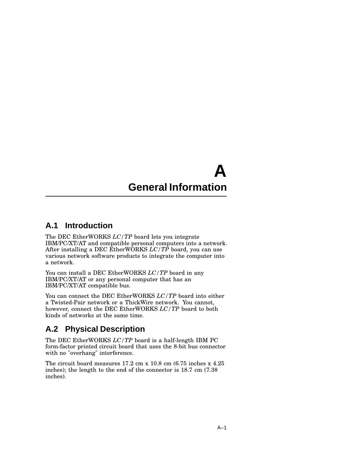## **A General Information**

## **A.1 Introduction**

The DEC EtherWORKS *LC/TP* board lets you integrate IBM/PC/XT/AT and compatible personal computers into a network. After installing a DEC EtherWORKS *LC/TP* board, you can use various network software products to integrate the computer into a network.

You can install a DEC EtherWORKS *LC/TP* board in any IBM/PC/XT/AT or any personal computer that has an IBM/PC/XT/AT compatible bus.

You can connect the DEC EtherWORKS *LC/TP* board into either a Twisted-Pair network or a ThickWire network. You cannot, however, connect the DEC EtherWORKS *LC/TP* board to both kinds of networks at the same time.

## **A.2 Physical Description**

The DEC EtherWORKS *LC/TP* board is a half-length IBM PC form-factor printed circuit board that uses the 8-bit bus connector with no "overhang" interference.

The circuit board measures 17.2 cm x 10.8 cm (6.75 inches x 4.25 inches); the length to the end of the connector is 18.7 cm (7.38 inches).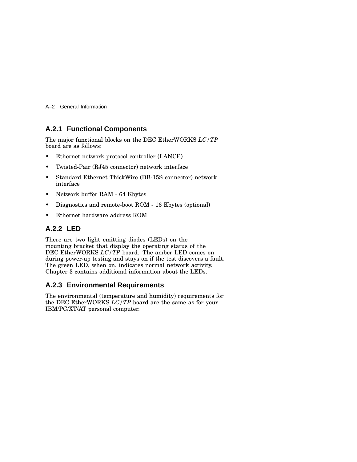A–2 General Information

#### **A.2.1 Functional Components**

The major functional blocks on the DEC EtherWORKS *LC/TP* board are as follows:

- Ethernet network protocol controller (LANCE)
- Twisted-Pair (RJ45 connector) network interface
- Standard Ethernet ThickWire (DB-15S connector) network interface
- Network buffer RAM 64 Kbytes
- Diagnostics and remote-boot ROM 16 Kbytes (optional)
- Ethernet hardware address ROM

#### **A.2.2 LED**

There are two light emitting diodes (LEDs) on the mounting bracket that display the operating status of the DEC EtherWORKS *LC/TP* board. The amber LED comes on during power-up testing and stays on if the test discovers a fault. The green LED, when on, indicates normal network activity. Chapter 3 contains additional information about the LEDs.

#### **A.2.3 Environmental Requirements**

The environmental (temperature and humidity) requirements for the DEC EtherWORKS *LC/TP* board are the same as for your IBM/PC/XT/AT personal computer.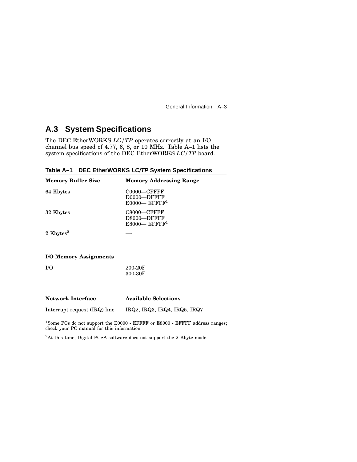General Information A–3

## **A.3 System Specifications**

The DEC EtherWORKS *LC/TP* operates correctly at an I/O channel bus speed of 4.77, 6, 8, or 10 MHz. Table A–1 lists the system specifications of the DEC EtherWORKS *LC/TP* board.

| Table A-1 DEC EtherWORKS LC/TP System Specifications |  |
|------------------------------------------------------|--|
|------------------------------------------------------|--|

| <b>Memory Buffer Size</b>     | <b>Memory Addressing Range</b>                                |  |
|-------------------------------|---------------------------------------------------------------|--|
| 64 Kbytes                     | $CO000$ —CFFFF<br>D0000-DFFFF<br>$E0000$ — EFFFF <sup>1</sup> |  |
| 32 Kbytes                     | C8000-CFFFF<br>D8000-DFFFF<br>$E8000$ — EFFFF <sup>1</sup>    |  |
| 2 Kbytes <sup>2</sup>         |                                                               |  |
| <b>I/O Memory Assignments</b> |                                                               |  |
| I/O                           | 200-20F<br>300-30F                                            |  |
| <b>Network Interface</b>      | <b>Available Selections</b>                                   |  |
| Interrupt request (IRQ) line  | IRQ2, IRQ3, IRQ4, IRQ5, IRQ7                                  |  |

 $^{1}\mathrm{Some}$  PCs do not support the E0000 - EFFFF or E8000 - EFFFF address ranges; check your PC manual for this information.

<sup>2</sup>At this time, Digital PCSA software does not support the 2 Kbyte mode.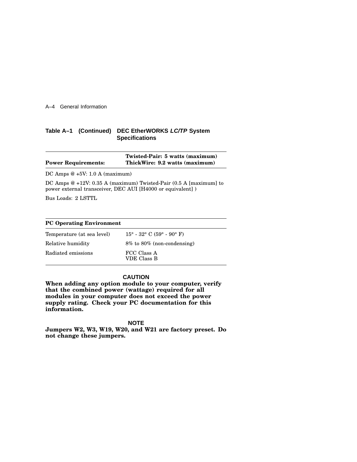#### A–4 General Information

#### **Table A–1 (Continued) DEC EtherWORKS LC/TP System Specifications**

|                            | Twisted-Pair: 5 watts (maximum) |
|----------------------------|---------------------------------|
| <b>Power Requirements:</b> | ThickWire: 9.2 watts (maximum)  |

DC Amps @ +5V: 1.0 A (maximum)

DC Amps @ +12V: 0.35 A (maximum) Twisted-Pair (0.5 A [maximum] to power external transceiver, DEC AUI [H4000 or equivalent] )

Bus Loads: 2 LSTTL

| <b>PC Operating Environment</b> |                                    |  |  |
|---------------------------------|------------------------------------|--|--|
| Temperature (at sea level)      | $15^{\circ}$ - 32° C (59° - 90° F) |  |  |
| Relative humidity               | $8\%$ to $80\%$ (non-condensing)   |  |  |
| Radiated emissions              | FCC Class A<br>VDE Class B         |  |  |

#### **CAUTION**

**When adding any option module to your computer, verify that the combined power (wattage) required for all modules in your computer does not exceed the power supply rating. Check your PC documentation for this information.**

**NOTE**

**Jumpers W2, W3, W19, W20, and W21 are factory preset. Do not change these jumpers.**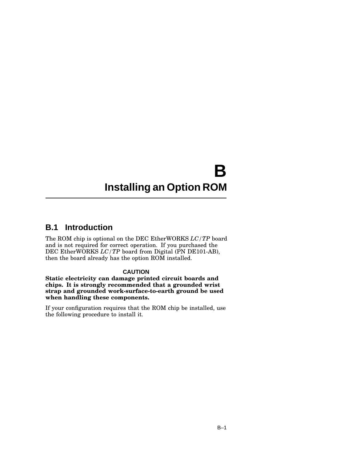## **B Installing an Option ROM**

### **B.1 Introduction**

The ROM chip is optional on the DEC EtherWORKS *LC/TP* board and is not required for correct operation. If you purchased the DEC EtherWORKS *LC/TP* board from Digital (PN DE101-AB), then the board already has the option ROM installed.

#### **CAUTION**

**Static electricity can damage printed circuit boards and chips. It is strongly recommended that a grounded wrist strap and grounded work-surface-to-earth ground be used when handling these components.**

If your configuration requires that the ROM chip be installed, use the following procedure to install it.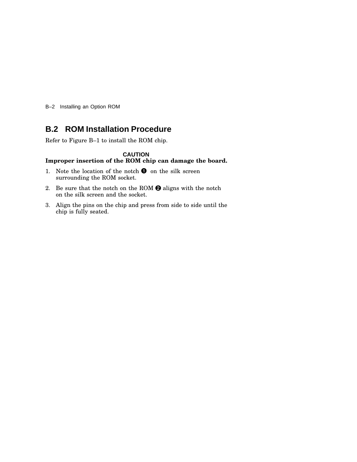B–2 Installing an Option ROM

## **B.2 ROM Installation Procedure**

Refer to Figure B–1 to install the ROM chip.

#### **CAUTION Improper insertion of the ROM chip can damage the board.**

- 1. Note the location of the notch  $\bullet$  on the silk screen surrounding the ROM socket.
- 2. Be sure that the notch on the ROM  $\Theta$  aligns with the notch on the silk screen and the socket.
- 3. Align the pins on the chip and press from side to side until the chip is fully seated.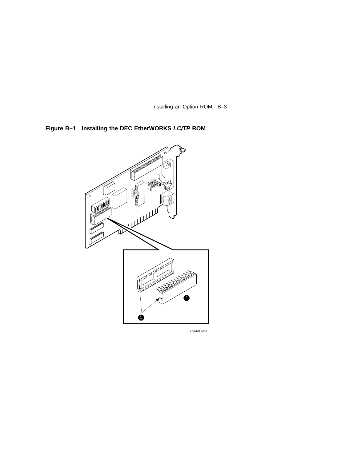Installing an Option ROM B–3

**Figure B–1 Installing the DEC EtherWORKS LC/TP ROM**

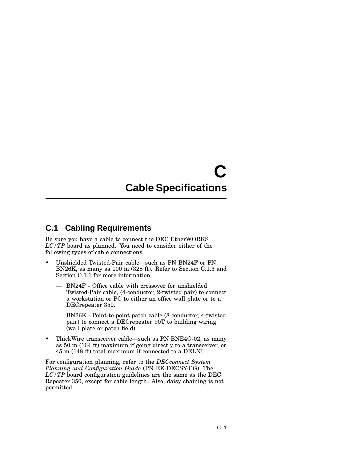## **C Cable Specifications**

## **C.1 Cabling Requirements**

Be sure you have a cable to connect the DEC EtherWORKS *LC/TP* board as planned. You need to consider either of the following types of cable connections.

- Unshielded Twisted-Pair cable—such as PN BN24F or PN BN26K, as many as 100 m (328 ft). Refer to Section C.1.3 and Section C.1.1 for more information.
	- BN24F Office cable with crossover for unshielded Twisted-Pair cable, (4-conductor, 2-twisted pair) to connect a workstation or PC to either an office wall plate or to a DECrepeater 350.
	- BN26K Point-to-point patch cable (8-conductor, 4-twisted pair) to connect a DECrepeater 90T to building wiring (wall plate or patch field).
- ThickWire transceiver cable—such as PN BNE4G-02, as many as 50 m (164 ft) maximum if going directly to a transceiver, or 45 m (148 ft) total maximum if connected to a DELNI.

For configuration planning, refer to the *DECconnect System Planning and Configuration Guide* (PN EK-DECSY-CG). The *LC/TP* board configuration guidelines are the same as the DEC Repeater 350, except for cable length. Also, daisy chaining is not permitted.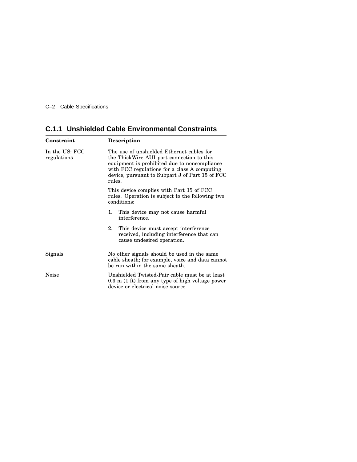C–2 Cable Specifications

| Constraint                    | Description                                                                                                                                                                                                                                         |  |
|-------------------------------|-----------------------------------------------------------------------------------------------------------------------------------------------------------------------------------------------------------------------------------------------------|--|
| In the US: FCC<br>regulations | The use of unshielded Ethernet cables for<br>the ThickWire AUI port connection to this<br>equipment is prohibited due to noncompliance<br>with FCC regulations for a class A computing<br>device, pursuant to Subpart J of Part 15 of FCC<br>rules. |  |
|                               | This device complies with Part 15 of FCC<br>rules. Operation is subject to the following two<br>conditions:                                                                                                                                         |  |
|                               | This device may not cause harmful<br>1.<br>interference.                                                                                                                                                                                            |  |
|                               | 2.<br>This device must accept interference<br>received, including interference that can<br>cause undesired operation.                                                                                                                               |  |
| Signals                       | No other signals should be used in the same<br>cable sheath; for example, voice and data cannot<br>be run within the same sheath.                                                                                                                   |  |
| Noise                         | Unshielded Twisted-Pair cable must be at least<br>$0.3$ m $(1 \text{ ft})$ from any type of high voltage power<br>device or electrical noise source.                                                                                                |  |

**C.1.1 Unshielded Cable Environmental Constraints**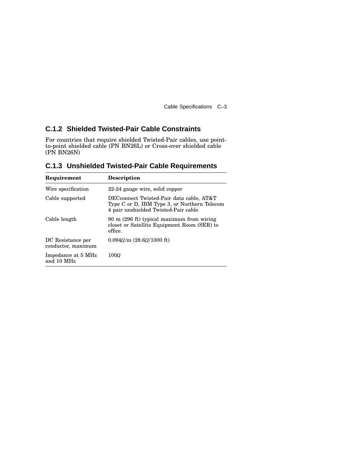Cable Specifications C–3

### **C.1.2 Shielded Twisted-Pair Cable Constraints**

For countries that require shielded Twisted-Pair cables, use pointto-point shielded cable (PN BN26L) or Cross-over shielded cable (PN BN26N)

|             | <b>C.1.3 Unshielded Twisted-Pair Cable Requirements</b> |
|-------------|---------------------------------------------------------|
| Requirement | <b>Description</b>                                      |

| nequirement                             | Description                                                                                                                      |
|-----------------------------------------|----------------------------------------------------------------------------------------------------------------------------------|
| Wire specification                      | 22-24 gauge wire, solid copper                                                                                                   |
| Cable supported                         | DECconnect Twisted-Pair data cable, AT&T<br>Type C or D, IBM Type 3, or Northern Telecom<br>4 pair unshielded Twisted-Pair cable |
| Cable length                            | 90 m (296 ft) typical maximum from wiring<br>closet or Satellite Equipment Room (SER) to<br>office.                              |
| DC Resistance per<br>conductor, maximum | $0.094\Omega/m$ (28.6 $\Omega$ /1000 ft)                                                                                         |
| Impedance at 5 MHz<br>and 10 MHz        | $100\Omega$                                                                                                                      |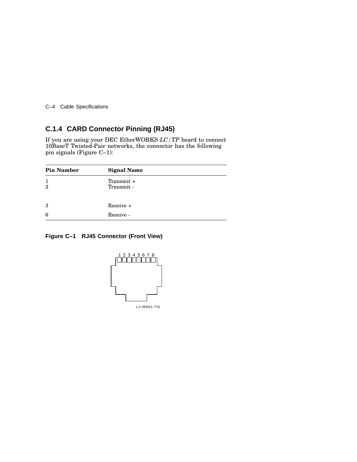C–4 Cable Specifications

### **C.1.4 CARD Connector Pinning (RJ45)**

If you are using your DEC EtherWORKS *LC/TP* board to connect 10BaseT Twisted-Pair networks, the connector has the following pin signals (Figure C–1):

| <b>Pin Number</b>   | <b>Signal Name</b>       |
|---------------------|--------------------------|
| 1<br>$\overline{2}$ | Transmit +<br>Transmit - |
| 3                   | $Receive +$              |
| 6                   | Receive -                |

#### **Figure C–1 RJ45 Connector (Front View)**

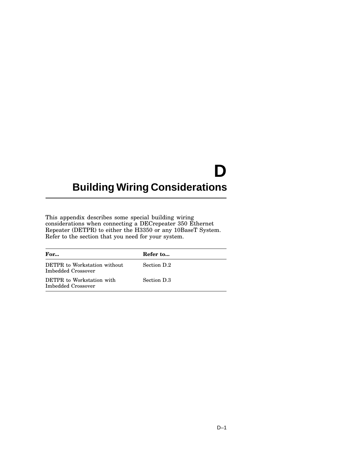# **D**

## **Building Wiring Considerations**

This appendix describes some special building wiring considerations when connecting a DECrepeater 350 Ethernet Repeater (DETPR) to either the H3350 or any 10BaseT System. Refer to the section that you need for your system.

| For                                                | Refer to    |
|----------------------------------------------------|-------------|
| DETPR to Workstation without<br>Imbedded Crossover | Section D.2 |
| DETPR to Workstation with<br>Imbedded Crossover    | Section D.3 |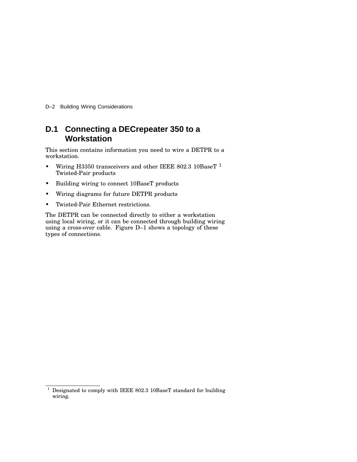D–2 Building Wiring Considerations

## **D.1 Connecting a DECrepeater 350 to a Workstation**

This section contains information you need to wire a DETPR to a workstation.

- Wiring H3350 transceivers and other IEEE 802.3 10BaseT  $^{\rm 1}$ Twisted-Pair products
- Building wiring to connect 10BaseT products
- Wiring diagrams for future DETPR products
- Twisted-Pair Ethernet restrictions.

The DETPR can be connected directly to either a workstation using local wiring, or it can be connected through building wiring using a cross-over cable. Figure D–1 shows a topology of these types of connections.

 $1$  Designated to comply with IEEE 802.3 10BaseT standard for building wiring.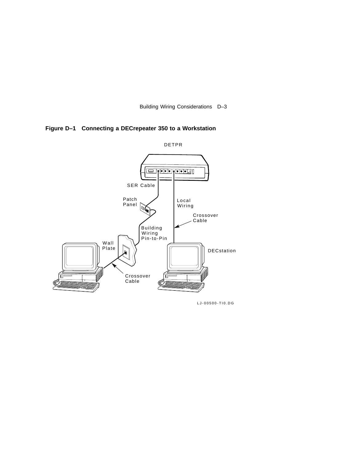Building Wiring Considerations D–3

**Figure D–1 Connecting a DECrepeater 350 to a Workstation**



LJ-00500-TI0.DG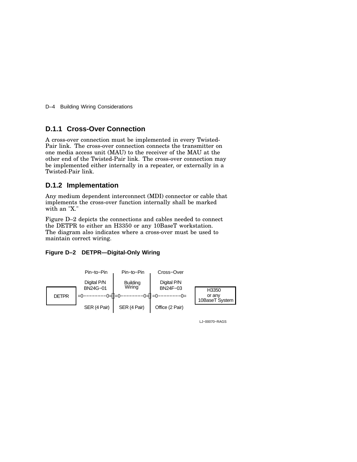D–4 Building Wiring Considerations

#### **D.1.1 Cross-Over Connection**

A cross-over connection must be implemented in every Twisted-Pair link. The cross-over connection connects the transmitter on one media access unit (MAU) to the receiver of the MAU at the other end of the Twisted-Pair link. The cross-over connection may be implemented either internally in a repeater, or externally in a Twisted-Pair link.

#### **D.1.2 Implementation**

Any medium dependent interconnect (MDI) connector or cable that implements the cross-over function internally shall be marked with an "X."

Figure D–2 depicts the connections and cables needed to connect the DETPR to either an H3350 or any 10BaseT workstation. The diagram also indicates where a cross-over must be used to maintain correct wiring.

#### **Figure D–2 DETPR—Digital-Only Wiring**



LJ−00070−RAGS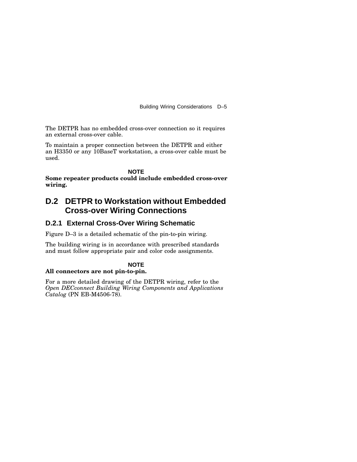Building Wiring Considerations D–5

The DETPR has no embedded cross-over connection so it requires an external cross-over cable.

To maintain a proper connection between the DETPR and either an H3350 or any 10BaseT workstation, a cross-over cable must be used.

**NOTE Some repeater products could include embedded cross-over wiring.**

## **D.2 DETPR to Workstation without Embedded Cross-over Wiring Connections**

#### **D.2.1 External Cross-Over Wiring Schematic**

Figure D–3 is a detailed schematic of the pin-to-pin wiring.

The building wiring is in accordance with prescribed standards and must follow appropriate pair and color code assignments.

#### **NOTE**

#### **All connectors are not pin-to-pin.**

For a more detailed drawing of the DETPR wiring, refer to the *Open DECconnect Building Wiring Components and Applications Catalog* (PN EB-M4506-78).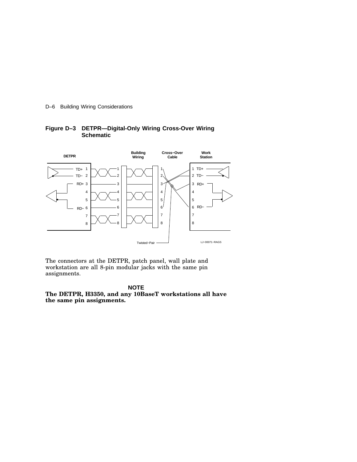D–6 Building Wiring Considerations



#### **Figure D–3 DETPR—Digital-Only Wiring Cross-Over Wiring Schematic**

The connectors at the DETPR, patch panel, wall plate and workstation are all 8-pin modular jacks with the same pin assignments.

#### **NOTE**

**The DETPR, H3350, and any 10BaseT workstations all have the same pin assignments.**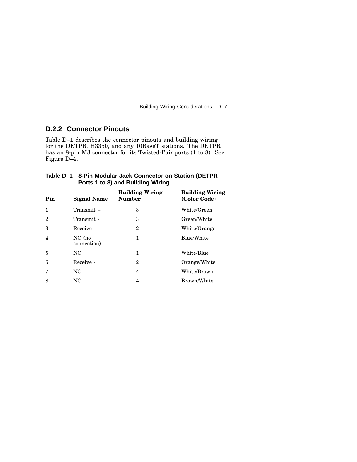Building Wiring Considerations D–7

## **D.2.2 Connector Pinouts**

Table D–1 describes the connector pinouts and building wiring for the DETPR, H3350, and any 10BaseT stations. The DETPR has an 8-pin MJ connector for its Twisted-Pair ports (1 to 8). See Figure D–4.

| Table D-1 8-Pin Modular Jack Connector on Station (DETPR |
|----------------------------------------------------------|
| Ports 1 to 8) and Building Wiring                        |

| Pin            | <b>Signal Name</b>    | <b>Building Wiring</b><br><b>Number</b> | <b>Building Wiring</b><br>(Color Code) |
|----------------|-----------------------|-----------------------------------------|----------------------------------------|
| 1              | Transmit $+$          | 3                                       | White/Green                            |
| $\mathbf 2$    | Transmit -            | 3                                       | Green/White                            |
| 3              | $Receive +$           | 2                                       | White/Orange                           |
| $\overline{4}$ | NC (no<br>connection) | 1                                       | Blue/White                             |
| 5              | NC                    | 1                                       | White/Blue                             |
| 6              | Receive -             | $\overline{2}$                          | Orange/White                           |
| 7              | NC                    | 4                                       | White/Brown                            |
| 8              | NC                    | 4                                       | Brown/White                            |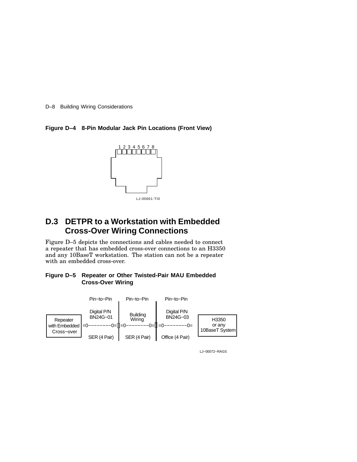D–8 Building Wiring Considerations

#### **Figure D–4 8-Pin Modular Jack Pin Locations (Front View)**



## **D.3 DETPR to a Workstation with Embedded Cross-Over Wiring Connections**

Figure D–5 depicts the connections and cables needed to connect a repeater that has embedded cross-over connections to an H3350 and any 10BaseT workstation. The station can not be a repeater with an embedded cross-over.

#### **Figure D–5 Repeater or Other Twisted-Pair MAU Embedded Cross-Over Wiring**



LJ−00072−RAGS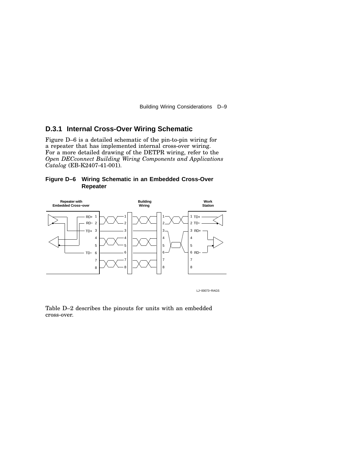Building Wiring Considerations D–9

#### **D.3.1 Internal Cross-Over Wiring Schematic**

Figure D–6 is a detailed schematic of the pin-to-pin wiring for a repeater that has implemented internal cross-over wiring. For a more detailed drawing of the DETPR wiring, refer to the *Open DECconnect Building Wiring Components and Applications Catalog* (EB-K2407-41-001).





LJ−00073−RAGS

Table D–2 describes the pinouts for units with an embedded cross-over.